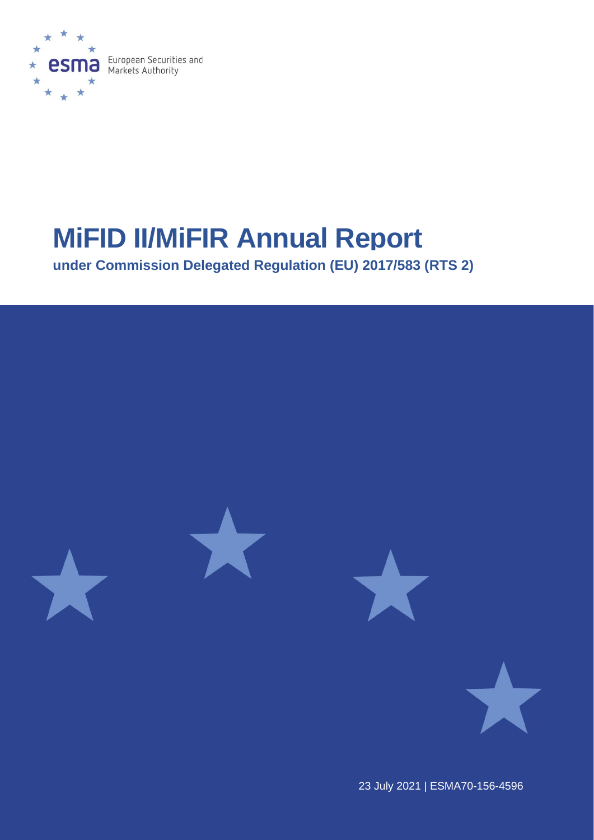

# **MiFID II/MiFIR Annual Report**

**under Commission Delegated Regulation (EU) 2017/583 (RTS 2)**



23 July 2021 | ESMA70-156-4596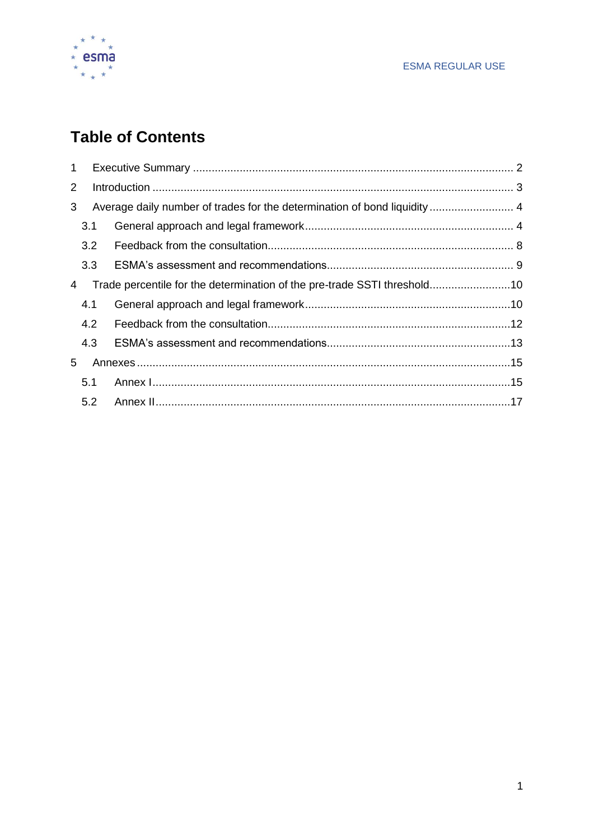

# **Table of Contents**

| 5.1 |                                                                                                                           |
|-----|---------------------------------------------------------------------------------------------------------------------------|
|     |                                                                                                                           |
|     | 3.1<br>3.2<br>3.3<br>Trade percentile for the determination of the pre-trade SSTI threshold10<br>4.1<br>4.2<br>4.3<br>5.2 |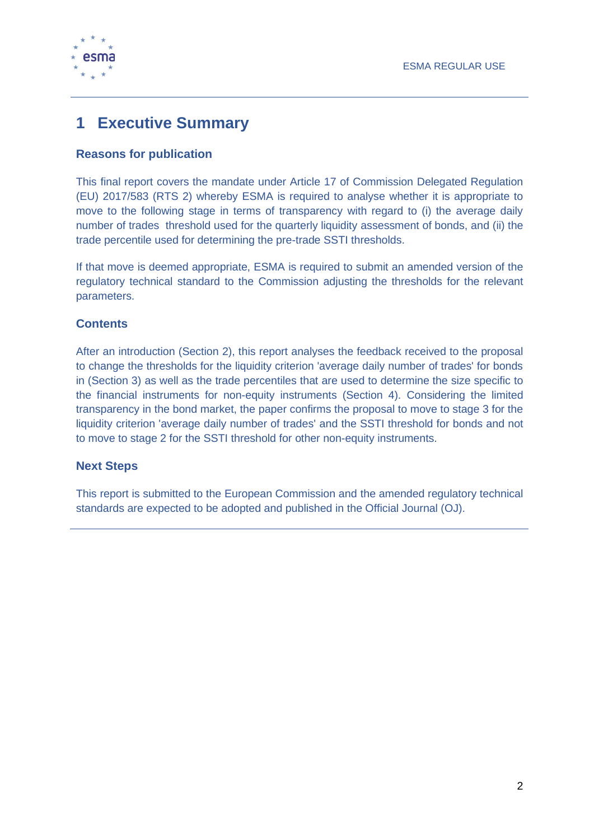

# <span id="page-2-0"></span>**1 Executive Summary**

### **Reasons for publication**

This final report covers the mandate under Article 17 of Commission Delegated Regulation (EU) 2017/583 (RTS 2) whereby ESMA is required to analyse whether it is appropriate to move to the following stage in terms of transparency with regard to (i) the average daily number of trades threshold used for the quarterly liquidity assessment of bonds, and (ii) the trade percentile used for determining the pre-trade SSTI thresholds.

If that move is deemed appropriate, ESMA is required to submit an amended version of the regulatory technical standard to the Commission adjusting the thresholds for the relevant parameters.

### **Contents**

After an introduction (Section 2), this report analyses the feedback received to the proposal to change the thresholds for the liquidity criterion 'average daily number of trades' for bonds in (Section 3) as well as the trade percentiles that are used to determine the size specific to the financial instruments for non-equity instruments (Section 4). Considering the limited transparency in the bond market, the paper confirms the proposal to move to stage 3 for the liquidity criterion 'average daily number of trades' and the SSTI threshold for bonds and not to move to stage 2 for the SSTI threshold for other non-equity instruments.

### **Next Steps**

This report is submitted to the European Commission and the amended regulatory technical standards are expected to be adopted and published in the Official Journal (OJ).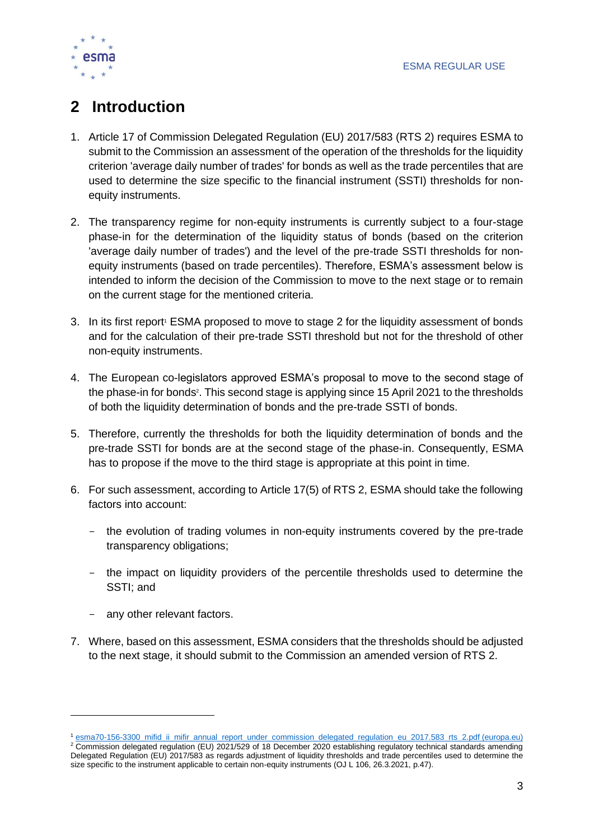

# <span id="page-3-0"></span>**2 Introduction**

- 1. Article 17 of Commission Delegated Regulation (EU) 2017/583 (RTS 2) requires ESMA to submit to the Commission an assessment of the operation of the thresholds for the liquidity criterion 'average daily number of trades' for bonds as well as the trade percentiles that are used to determine the size specific to the financial instrument (SSTI) thresholds for nonequity instruments.
- 2. The transparency regime for non-equity instruments is currently subject to a four-stage phase-in for the determination of the liquidity status of bonds (based on the criterion 'average daily number of trades') and the level of the pre-trade SSTI thresholds for nonequity instruments (based on trade percentiles). Therefore, ESMA's assessment below is intended to inform the decision of the Commission to move to the next stage or to remain on the current stage for the mentioned criteria.
- 3. In its first report<sup>1</sup> ESMA proposed to move to stage 2 for the liquidity assessment of bonds and for the calculation of their pre-trade SSTI threshold but not for the threshold of other non-equity instruments.
- 4. The European co-legislators approved ESMA's proposal to move to the second stage of the phase-in for bonds<sup>2</sup>. This second stage is applying since 15 April 2021 to the thresholds of both the liquidity determination of bonds and the pre-trade SSTI of bonds.
- 5. Therefore, currently the thresholds for both the liquidity determination of bonds and the pre-trade SSTI for bonds are at the second stage of the phase-in. Consequently, ESMA has to propose if the move to the third stage is appropriate at this point in time.
- 6. For such assessment, according to Article 17(5) of RTS 2, ESMA should take the following factors into account:
	- the evolution of trading volumes in non-equity instruments covered by the pre-trade transparency obligations;
	- the impact on liquidity providers of the percentile thresholds used to determine the SSTI; and
	- any other relevant factors.
- 7. Where, based on this assessment, ESMA considers that the thresholds should be adjusted to the next stage, it should submit to the Commission an amended version of RTS 2.

<sup>1</sup> [esma70-156-3300\\_mifid\\_ii\\_mifir\\_annual\\_report\\_under\\_commission\\_delegated\\_regulation\\_eu\\_2017.583\\_rts\\_2.pdf \(europa.eu\)](https://www.esma.europa.eu/sites/default/files/library/esma70-156-3300_mifid_ii_mifir_annual_report_under_commission_delegated_regulation_eu_2017.583_rts_2.pdf)

<sup>&</sup>lt;sup>2</sup> Commission delegated regulation (EU) 2021/529 of 18 December 2020 establishing regulatory technical standards amending Delegated Regulation (EU) 2017/583 as regards adjustment of liquidity thresholds and trade percentiles used to determine the size specific to the instrument applicable to certain non-equity instruments (OJ L 106, 26.3.2021, p.47).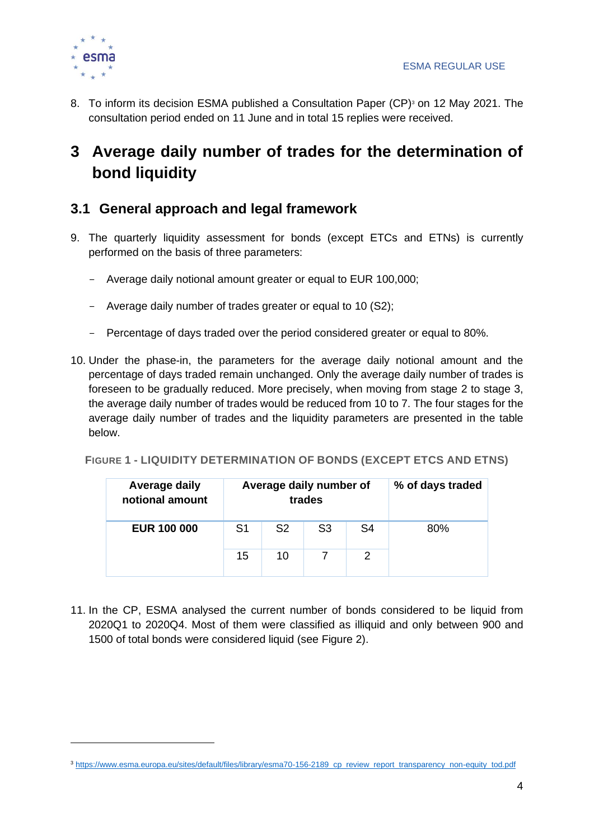

8. To inform its decision ESMA published a Consultation Paper (CP)<sup>3</sup> on 12 May 2021. The consultation period ended on 11 June and in total 15 replies were received.

# <span id="page-4-0"></span>**3 Average daily number of trades for the determination of bond liquidity**

# <span id="page-4-1"></span>**3.1 General approach and legal framework**

- 9. The quarterly liquidity assessment for bonds (except ETCs and ETNs) is currently performed on the basis of three parameters:
	- Average daily notional amount greater or equal to EUR 100,000;
	- Average daily number of trades greater or equal to 10 (S2);
	- Percentage of days traded over the period considered greater or equal to 80%.
- 10. Under the phase-in, the parameters for the average daily notional amount and the percentage of days traded remain unchanged. Only the average daily number of trades is foreseen to be gradually reduced. More precisely, when moving from stage 2 to stage 3, the average daily number of trades would be reduced from 10 to 7. The four stages for the average daily number of trades and the liquidity parameters are presented in the table below.

#### **FIGURE 1 - LIQUIDITY DETERMINATION OF BONDS (EXCEPT ETCS AND ETNS)**

| Average daily<br>notional amount |    | Average daily number of<br>trades | % of days traded |    |     |
|----------------------------------|----|-----------------------------------|------------------|----|-----|
| <b>EUR 100 000</b>               | S1 | S <sub>2</sub>                    | S3               | S4 | 80% |
|                                  | 15 | 10                                |                  |    |     |

11. In the CP, ESMA analysed the current number of bonds considered to be liquid from 2020Q1 to 2020Q4. Most of them were classified as illiquid and only between 900 and 1500 of total bonds were considered liquid (see [Figure 2\)](#page-5-0).

<sup>&</sup>lt;sup>3</sup> https://www.esma.europa.eu/sites/default/files/library/esma70-156-2189 cp\_review\_report\_transparency\_non-equity\_tod.pdf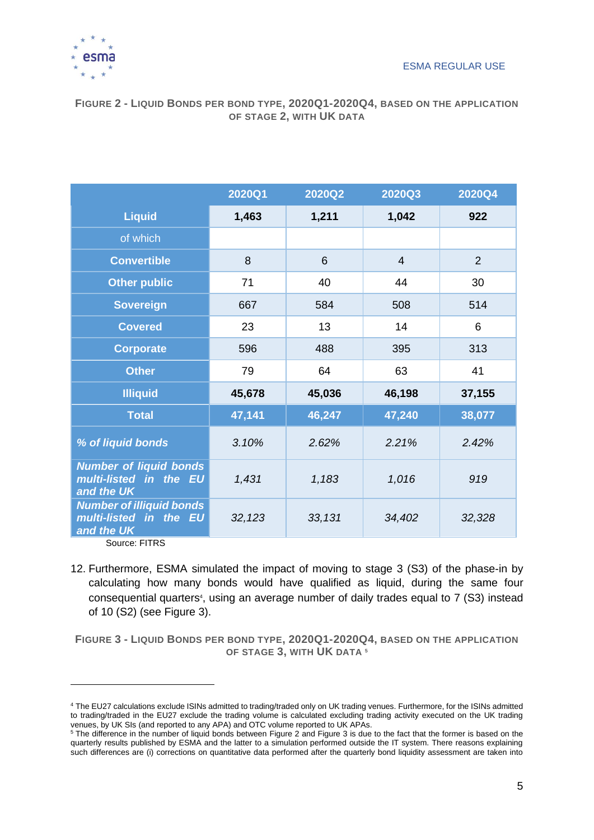

#### <span id="page-5-0"></span>**FIGURE 2 - LIQUID BONDS PER BOND TYPE, 2020Q1-2020Q4, BASED ON THE APPLICATION OF STAGE 2, WITH UK DATA**

|                                                                         | 2020Q1 | 2020Q2 | 2020Q3         | 2020Q4         |
|-------------------------------------------------------------------------|--------|--------|----------------|----------------|
| <b>Liquid</b>                                                           | 1,463  | 1,211  | 1,042          | 922            |
| of which                                                                |        |        |                |                |
| <b>Convertible</b>                                                      | 8      | 6      | $\overline{4}$ | $\overline{2}$ |
| <b>Other public</b>                                                     | 71     | 40     | 44             | 30             |
| <b>Sovereign</b>                                                        | 667    | 584    | 508            | 514            |
| <b>Covered</b>                                                          | 23     | 13     | 14             | 6              |
| <b>Corporate</b>                                                        | 596    | 488    | 395            | 313            |
| <b>Other</b>                                                            | 79     | 64     | 63             | 41             |
| <b>Illiquid</b>                                                         | 45,678 | 45,036 | 46,198         | 37,155         |
| <b>Total</b>                                                            | 47,141 | 46,247 | 47,240         | 38,077         |
| % of liquid bonds                                                       | 3.10%  | 2.62%  | 2.21%          | 2.42%          |
| <b>Number of liquid bonds</b><br>multi-listed in the EU<br>and the UK   | 1,431  | 1,183  | 1,016          | 919            |
| <b>Number of illiquid bonds</b><br>multi-listed in the EU<br>and the UK | 32,123 | 33,131 | 34,402         | 32,328         |

Source: FITRS

12. Furthermore, ESMA simulated the impact of moving to stage 3 (S3) of the phase-in by calculating how many bonds would have qualified as liquid, during the same four consequential quarters<sup>4</sup>, using an average number of daily trades equal to 7 (S3) instead of 10 (S2) (see [Figure 3\)](#page-5-1).

<span id="page-5-1"></span>**FIGURE 3 - LIQUID BONDS PER BOND TYPE, 2020Q1-2020Q4, BASED ON THE APPLICATION OF STAGE 3, WITH UK DATA <sup>5</sup>**

<sup>4</sup> The EU27 calculations exclude ISINs admitted to trading/traded only on UK trading venues. Furthermore, for the ISINs admitted to trading/traded in the EU27 exclude the trading volume is calculated excluding trading activity executed on the UK trading venues, by UK SIs (and reported to any APA) and OTC volume reported to UK APAs.

<sup>&</sup>lt;sup>5</sup> The difference in the number of liquid bonds between [Figure 2](#page-5-0) an[d Figure 3](#page-5-1) is due to the fact that the former is based on the quarterly results published by ESMA and the latter to a simulation performed outside the IT system. There reasons explaining such differences are (i) corrections on quantitative data performed after the quarterly bond liquidity assessment are taken into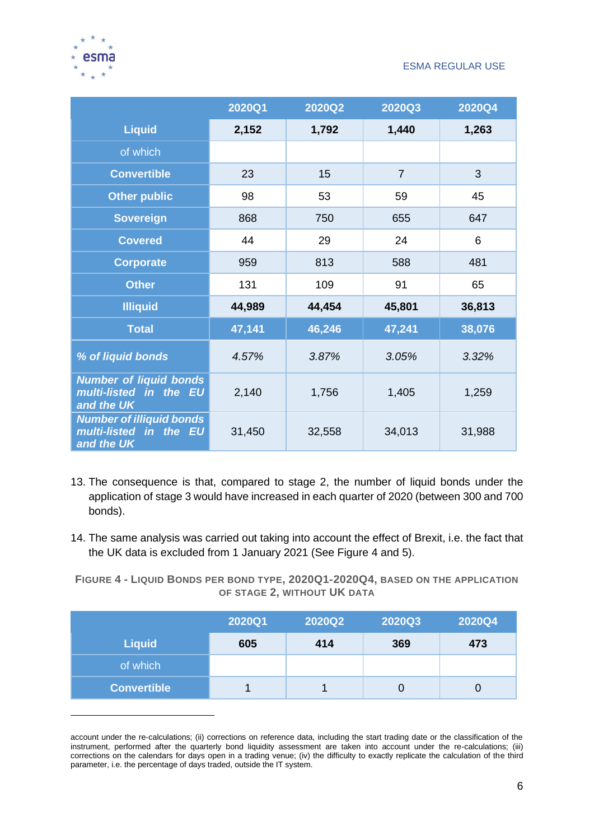

|                                                                         | 2020Q1 | 2020Q2 | 2020Q3         | 2020Q4 |
|-------------------------------------------------------------------------|--------|--------|----------------|--------|
| <b>Liquid</b>                                                           | 2,152  | 1,792  | 1,440          | 1,263  |
| of which                                                                |        |        |                |        |
| <b>Convertible</b>                                                      | 23     | 15     | $\overline{7}$ | 3      |
| <b>Other public</b>                                                     | 98     | 53     | 59             | 45     |
| <b>Sovereign</b>                                                        | 868    | 750    | 655            | 647    |
| <b>Covered</b>                                                          | 44     | 29     | 24             | 6      |
| <b>Corporate</b>                                                        | 959    | 813    | 588            | 481    |
| <b>Other</b>                                                            | 131    | 109    | 91             | 65     |
| <b>Illiquid</b>                                                         | 44,989 | 44,454 | 45,801         | 36,813 |
| <b>Total</b>                                                            | 47,141 | 46,246 | 47,241         | 38,076 |
| % of liquid bonds                                                       | 4.57%  | 3.87%  | 3.05%          | 3.32%  |
| <b>Number of liquid bonds</b><br>multi-listed in the EU<br>and the UK   | 2,140  | 1,756  | 1,405          | 1,259  |
| <b>Number of illiquid bonds</b><br>multi-listed in the EU<br>and the UK | 31,450 | 32,558 | 34,013         | 31,988 |

- 13. The consequence is that, compared to stage 2, the number of liquid bonds under the application of stage 3 would have increased in each quarter of 2020 (between 300 and 700 bonds).
- 14. The same analysis was carried out taking into account the effect of Brexit, i.e. the fact that the UK data is excluded from 1 January 2021 (See Figure 4 and 5).

**FIGURE 4 - LIQUID BONDS PER BOND TYPE, 2020Q1-2020Q4, BASED ON THE APPLICATION OF STAGE 2, WITHOUT UK DATA**

|                    | 2020Q1 | 2020Q2 | 2020Q3 | 2020Q4 |
|--------------------|--------|--------|--------|--------|
| <b>Liquid</b>      | 605    | 414    | 369    | 473    |
| of which           |        |        |        |        |
| <b>Convertible</b> |        |        |        |        |

account under the re-calculations; (ii) corrections on reference data, including the start trading date or the classification of the instrument, performed after the quarterly bond liquidity assessment are taken into account under the re-calculations; (iii) corrections on the calendars for days open in a trading venue; (iv) the difficulty to exactly replicate the calculation of the third parameter, i.e. the percentage of days traded, outside the IT system.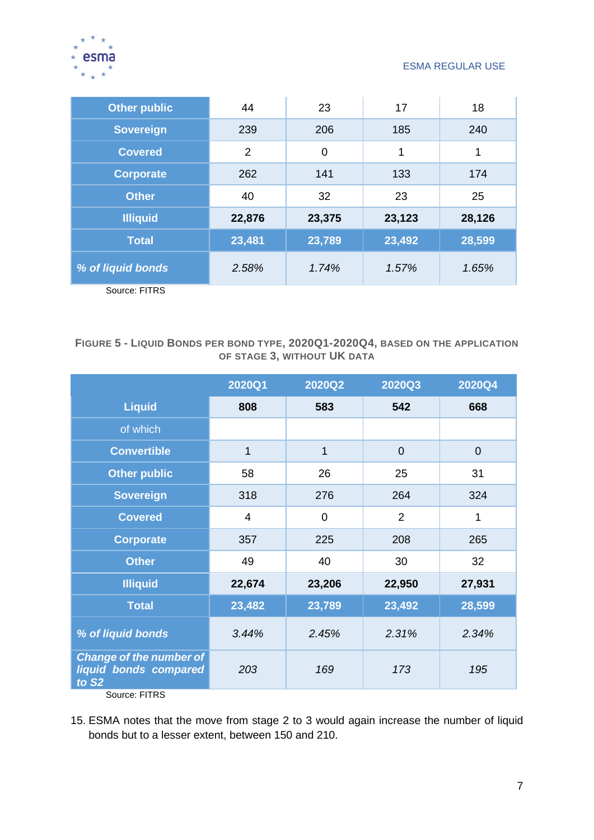

| <b>Other public</b> | 44             | 23          | 17     | 18     |
|---------------------|----------------|-------------|--------|--------|
| <b>Sovereign</b>    | 239            | 206         | 185    | 240    |
| <b>Covered</b>      | $\overline{2}$ | $\mathbf 0$ | 1      | 1      |
| <b>Corporate</b>    | 262            | 141         | 133    | 174    |
| <b>Other</b>        | 40             | 32          | 23     | 25     |
| <b>Illiquid</b>     | 22,876         | 23,375      | 23,123 | 28,126 |
| <b>Total</b>        | 23,481         | 23,789      | 23,492 | 28,599 |
| % of liquid bonds   | 2.58%          | 1.74%       | 1.57%  | 1.65%  |
| Source: FITRS       |                |             |        |        |

#### **FIGURE 5 - LIQUID BONDS PER BOND TYPE, 2020Q1-2020Q4, BASED ON THE APPLICATION OF STAGE 3, WITHOUT UK DATA**

|                                                                              | 2020Q1 | 2020Q2      | 2020Q3         | 2020Q4         |
|------------------------------------------------------------------------------|--------|-------------|----------------|----------------|
| <b>Liquid</b>                                                                | 808    | 583         | 542            | 668            |
| of which                                                                     |        |             |                |                |
| <b>Convertible</b>                                                           | 1      | 1           | $\overline{0}$ | $\overline{0}$ |
| <b>Other public</b>                                                          | 58     | 26          | 25             | 31             |
| <b>Sovereign</b>                                                             | 318    | 276         | 264            | 324            |
| <b>Covered</b>                                                               | 4      | $\mathbf 0$ | $\overline{2}$ | 1              |
| <b>Corporate</b>                                                             | 357    | 225         | 208            | 265            |
| <b>Other</b>                                                                 | 49     | 40          | 30             | 32             |
| <b>Illiquid</b>                                                              | 22,674 | 23,206      | 22,950         | 27,931         |
| <b>Total</b>                                                                 | 23,482 | 23,789      | 23,492         | 28,599         |
| % of liquid bonds                                                            | 3.44%  | 2.45%       | 2.31%          | 2.34%          |
| <b>Change of the number of</b><br>liquid bonds compared<br>to S <sub>2</sub> | 203    | 169         | 173            | 195            |
| Source: FITRS                                                                |        |             |                |                |

15. ESMA notes that the move from stage 2 to 3 would again increase the number of liquid bonds but to a lesser extent, between 150 and 210.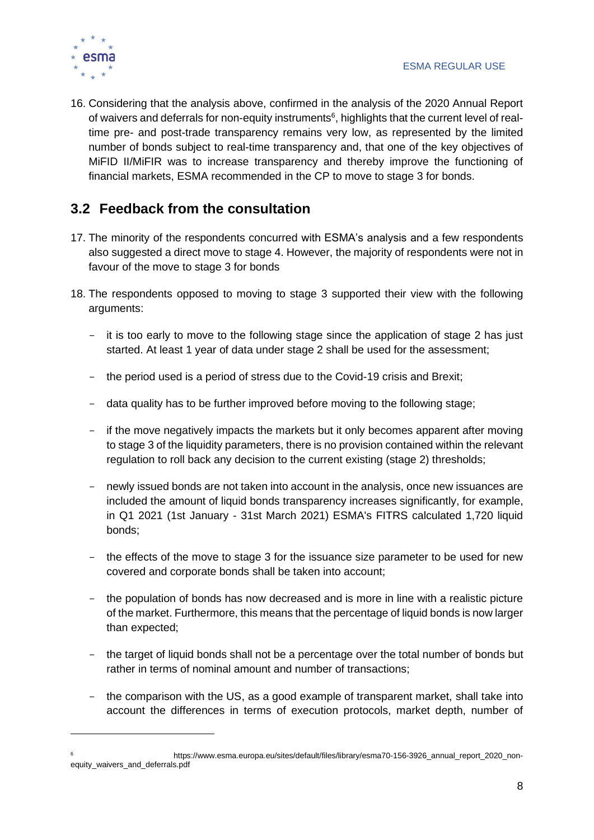

16. Considering that the analysis above, confirmed in the analysis of the 2020 Annual Report of waivers and deferrals for non-equity instruments<sup>6</sup>, highlights that the current level of realtime pre- and post-trade transparency remains very low, as represented by the limited number of bonds subject to real-time transparency and, that one of the key objectives of MiFID II/MiFIR was to increase transparency and thereby improve the functioning of financial markets, ESMA recommended in the CP to move to stage 3 for bonds.

# <span id="page-8-0"></span>**3.2 Feedback from the consultation**

- 17. The minority of the respondents concurred with ESMA's analysis and a few respondents also suggested a direct move to stage 4. However, the majority of respondents were not in favour of the move to stage 3 for bonds
- 18. The respondents opposed to moving to stage 3 supported their view with the following arguments:
	- it is too early to move to the following stage since the application of stage 2 has just started. At least 1 year of data under stage 2 shall be used for the assessment;
	- the period used is a period of stress due to the Covid-19 crisis and Brexit;
	- data quality has to be further improved before moving to the following stage;
	- if the move negatively impacts the markets but it only becomes apparent after moving to stage 3 of the liquidity parameters, there is no provision contained within the relevant regulation to roll back any decision to the current existing (stage 2) thresholds;
	- newly issued bonds are not taken into account in the analysis, once new issuances are included the amount of liquid bonds transparency increases significantly, for example, in Q1 2021 (1st January - 31st March 2021) ESMA's FITRS calculated 1,720 liquid bonds;
	- the effects of the move to stage 3 for the issuance size parameter to be used for new covered and corporate bonds shall be taken into account;
	- the population of bonds has now decreased and is more in line with a realistic picture of the market. Furthermore, this means that the percentage of liquid bonds is now larger than expected;
	- the target of liquid bonds shall not be a percentage over the total number of bonds but rather in terms of nominal amount and number of transactions;
	- the comparison with the US, as a good example of transparent market, shall take into account the differences in terms of execution protocols, market depth, number of

https://www.esma.europa.eu/sites/default/files/library/esma70-156-3926\_annual\_report\_2020\_nonequity\_waivers\_and\_deferrals.pdf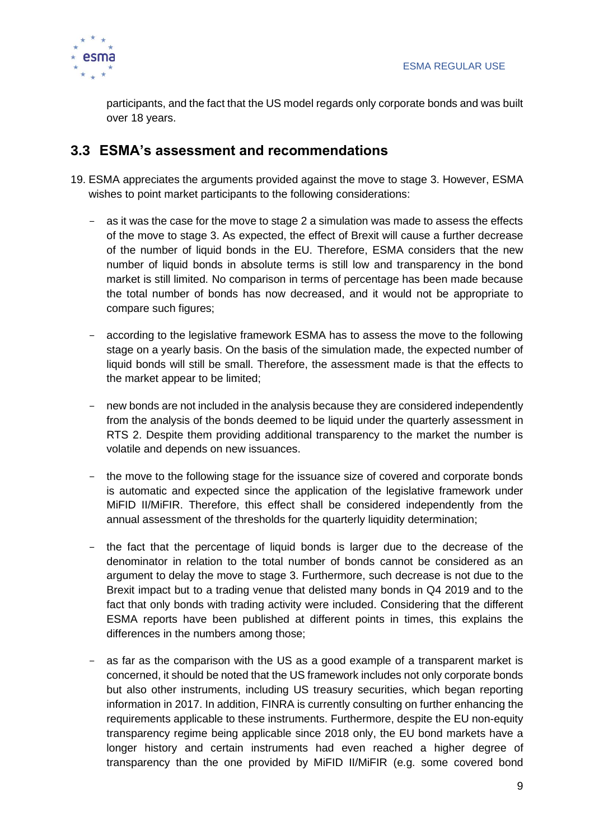

participants, and the fact that the US model regards only corporate bonds and was built over 18 years.

### <span id="page-9-0"></span>**3.3 ESMA's assessment and recommendations**

- 19. ESMA appreciates the arguments provided against the move to stage 3. However, ESMA wishes to point market participants to the following considerations:
	- as it was the case for the move to stage 2 a simulation was made to assess the effects of the move to stage 3. As expected, the effect of Brexit will cause a further decrease of the number of liquid bonds in the EU. Therefore, ESMA considers that the new number of liquid bonds in absolute terms is still low and transparency in the bond market is still limited. No comparison in terms of percentage has been made because the total number of bonds has now decreased, and it would not be appropriate to compare such figures;
	- according to the legislative framework ESMA has to assess the move to the following stage on a yearly basis. On the basis of the simulation made, the expected number of liquid bonds will still be small. Therefore, the assessment made is that the effects to the market appear to be limited;
	- new bonds are not included in the analysis because they are considered independently from the analysis of the bonds deemed to be liquid under the quarterly assessment in RTS 2. Despite them providing additional transparency to the market the number is volatile and depends on new issuances.
	- the move to the following stage for the issuance size of covered and corporate bonds is automatic and expected since the application of the legislative framework under MiFID II/MiFIR. Therefore, this effect shall be considered independently from the annual assessment of the thresholds for the quarterly liquidity determination;
	- the fact that the percentage of liquid bonds is larger due to the decrease of the denominator in relation to the total number of bonds cannot be considered as an argument to delay the move to stage 3. Furthermore, such decrease is not due to the Brexit impact but to a trading venue that delisted many bonds in Q4 2019 and to the fact that only bonds with trading activity were included. Considering that the different ESMA reports have been published at different points in times, this explains the differences in the numbers among those;
	- as far as the comparison with the US as a good example of a transparent market is concerned, it should be noted that the US framework includes not only corporate bonds but also other instruments, including US treasury securities, which began reporting information in 2017. In addition, FINRA is currently consulting on further enhancing the requirements applicable to these instruments. Furthermore, despite the EU non-equity transparency regime being applicable since 2018 only, the EU bond markets have a longer history and certain instruments had even reached a higher degree of transparency than the one provided by MiFID II/MiFIR (e.g. some covered bond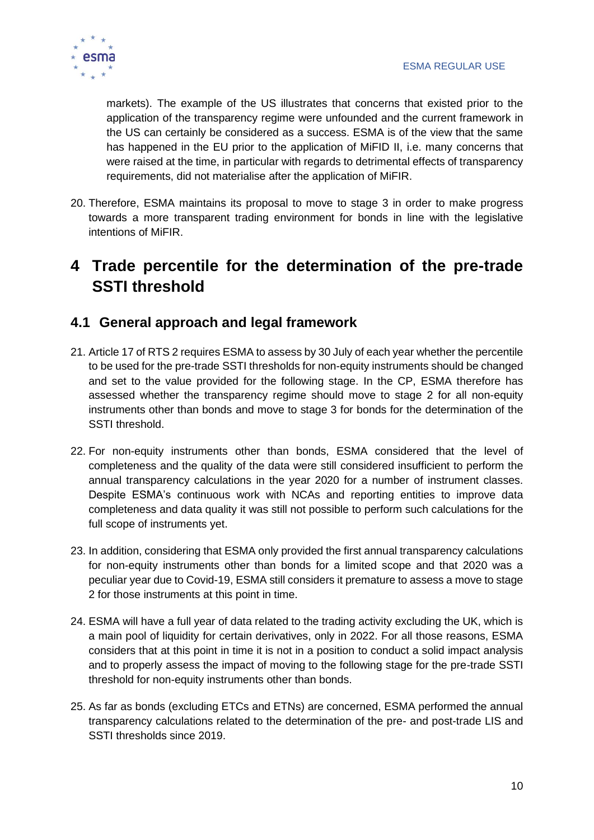

markets). The example of the US illustrates that concerns that existed prior to the application of the transparency regime were unfounded and the current framework in the US can certainly be considered as a success. ESMA is of the view that the same has happened in the EU prior to the application of MiFID II, i.e. many concerns that were raised at the time, in particular with regards to detrimental effects of transparency requirements, did not materialise after the application of MiFIR.

20. Therefore, ESMA maintains its proposal to move to stage 3 in order to make progress towards a more transparent trading environment for bonds in line with the legislative intentions of MiFIR.

# <span id="page-10-0"></span>**4 Trade percentile for the determination of the pre-trade SSTI threshold**

### <span id="page-10-1"></span>**4.1 General approach and legal framework**

- 21. Article 17 of RTS 2 requires ESMA to assess by 30 July of each year whether the percentile to be used for the pre-trade SSTI thresholds for non-equity instruments should be changed and set to the value provided for the following stage. In the CP, ESMA therefore has assessed whether the transparency regime should move to stage 2 for all non-equity instruments other than bonds and move to stage 3 for bonds for the determination of the SSTI threshold.
- 22. For non-equity instruments other than bonds, ESMA considered that the level of completeness and the quality of the data were still considered insufficient to perform the annual transparency calculations in the year 2020 for a number of instrument classes. Despite ESMA's continuous work with NCAs and reporting entities to improve data completeness and data quality it was still not possible to perform such calculations for the full scope of instruments yet.
- 23. In addition, considering that ESMA only provided the first annual transparency calculations for non-equity instruments other than bonds for a limited scope and that 2020 was a peculiar year due to Covid-19, ESMA still considers it premature to assess a move to stage 2 for those instruments at this point in time.
- 24. ESMA will have a full year of data related to the trading activity excluding the UK, which is a main pool of liquidity for certain derivatives, only in 2022. For all those reasons, ESMA considers that at this point in time it is not in a position to conduct a solid impact analysis and to properly assess the impact of moving to the following stage for the pre-trade SSTI threshold for non-equity instruments other than bonds.
- 25. As far as bonds (excluding ETCs and ETNs) are concerned, ESMA performed the annual transparency calculations related to the determination of the pre- and post-trade LIS and SSTI thresholds since 2019.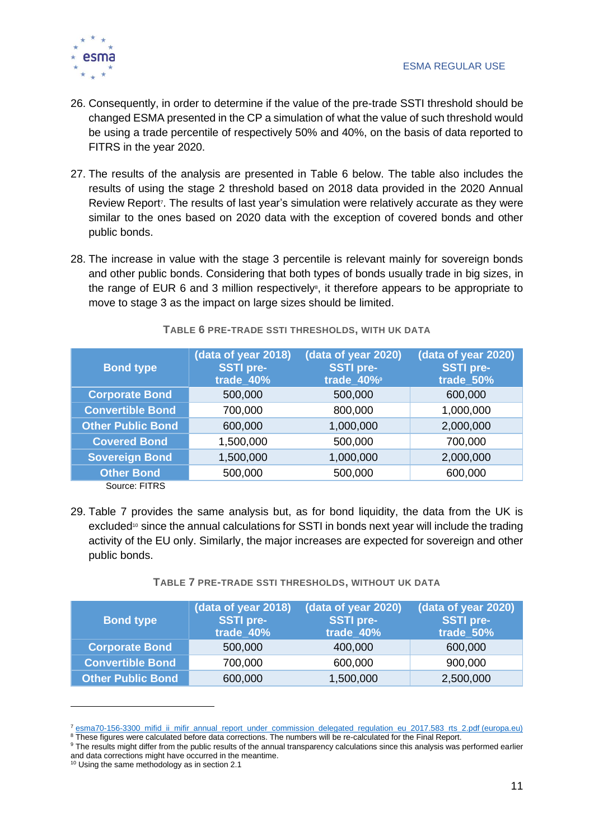

- 26. Consequently, in order to determine if the value of the pre-trade SSTI threshold should be changed ESMA presented in the CP a simulation of what the value of such threshold would be using a trade percentile of respectively 50% and 40%, on the basis of data reported to FITRS in the year 2020.
- 27. The results of the analysis are presented in Table 6 below. The table also includes the results of using the stage 2 threshold based on 2018 data provided in the 2020 Annual Review Report<sup>7</sup>. The results of last year's simulation were relatively accurate as they were similar to the ones based on 2020 data with the exception of covered bonds and other public bonds.
- 28. The increase in value with the stage 3 percentile is relevant mainly for sovereign bonds and other public bonds. Considering that both types of bonds usually trade in big sizes, in the range of EUR 6 and 3 million respectively<sup>®</sup>, it therefore appears to be appropriate to move to stage 3 as the impact on large sizes should be limited.

| <b>Bond type</b>         | (data of year 2018)<br><b>SSTI pre-</b><br>trade_40% | (data of year 2020)<br><b>SSTI pre-</b><br>trade_40% | (data of year 2020)<br><b>SSTI pre-</b><br>trade_50% |
|--------------------------|------------------------------------------------------|------------------------------------------------------|------------------------------------------------------|
| <b>Corporate Bond</b>    | 500,000                                              | 500,000                                              | 600,000                                              |
| <b>Convertible Bond</b>  | 700,000                                              | 800,000                                              | 1,000,000                                            |
| <b>Other Public Bond</b> | 600,000                                              | 1,000,000                                            | 2,000,000                                            |
| <b>Covered Bond</b>      | 1,500,000                                            | 500,000                                              | 700,000                                              |
| <b>Sovereign Bond</b>    | 1,500,000                                            | 1,000,000                                            | 2,000,000                                            |
| <b>Other Bond</b>        | 500,000                                              | 500,000                                              | 600,000                                              |
| Source: FITRS            |                                                      |                                                      |                                                      |

**TABLE 6 PRE-TRADE SSTI THRESHOLDS, WITH UK DATA**

29. Table 7 provides the same analysis but, as for bond liquidity, the data from the UK is excluded $\degree$  since the annual calculations for SSTI in bonds next year will include the trading activity of the EU only. Similarly, the major increases are expected for sovereign and other public bonds.

|  | TABLE 7 PRE-TRADE SSTI THRESHOLDS, WITHOUT UK DATA |  |  |
|--|----------------------------------------------------|--|--|
|  |                                                    |  |  |

| <b>Bond type</b>         | (data of year 2018)<br><b>SSTI pre-</b><br>trade 40% | (data of year 2020)<br><b>SSTI pre-</b><br>trade 40% | (data of year 2020)<br><b>SSTI pre-</b><br>trade 50% |
|--------------------------|------------------------------------------------------|------------------------------------------------------|------------------------------------------------------|
| <b>Corporate Bond</b>    | 500,000                                              | 400,000                                              | 600,000                                              |
| <b>Convertible Bond</b>  | 700,000                                              | 600,000                                              | 900,000                                              |
| <b>Other Public Bond</b> | 600,000                                              | 1,500,000                                            | 2,500,000                                            |

<sup>&</sup>lt;sup>7</sup> esma70-156-3300 mifid ii mifir\_annual\_report\_under\_commission\_delegated\_regulation\_eu\_2017.583\_rts\_2.pdf (europa.eu)

<sup>8</sup> These figures were calculated before data corrections. The numbers will be re-calculated for the Final Report.

<sup>&</sup>lt;sup>9</sup> The results might differ from the public results of the annual transparency calculations since this analysis was performed earlier and data corrections might have occurred in the meantime.

 $10$  Using the same methodology as in section 2.1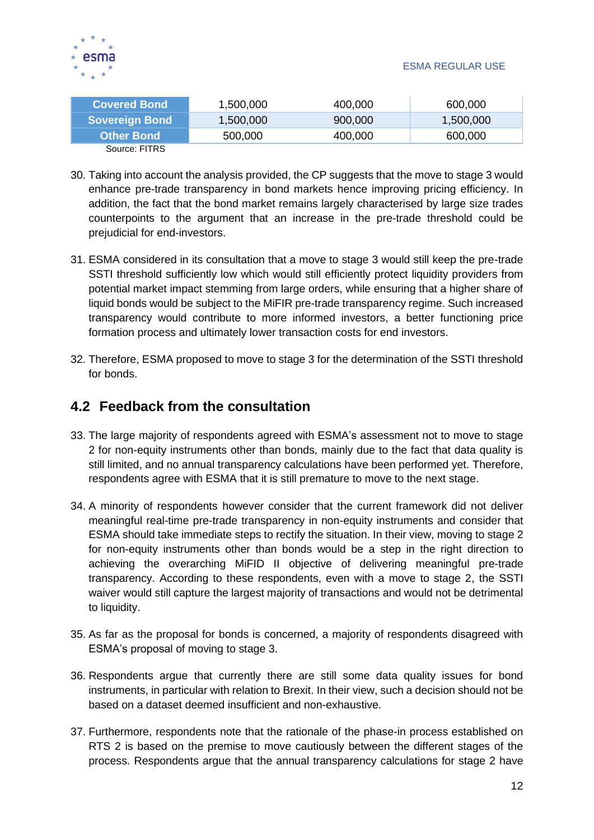

| <b>Covered Bond</b>   | 1,500,000 | 400.000 | 600,000   |
|-----------------------|-----------|---------|-----------|
| <b>Sovereign Bond</b> | 1,500,000 | 900,000 | 1,500,000 |
| <b>Other Bond</b>     | 500,000   | 400,000 | 600,000   |
| Source: FITRS         |           |         |           |

- 30. Taking into account the analysis provided, the CP suggests that the move to stage 3 would enhance pre-trade transparency in bond markets hence improving pricing efficiency. In addition, the fact that the bond market remains largely characterised by large size trades counterpoints to the argument that an increase in the pre-trade threshold could be prejudicial for end-investors.
- 31. ESMA considered in its consultation that a move to stage 3 would still keep the pre-trade SSTI threshold sufficiently low which would still efficiently protect liquidity providers from potential market impact stemming from large orders, while ensuring that a higher share of liquid bonds would be subject to the MiFIR pre-trade transparency regime. Such increased transparency would contribute to more informed investors, a better functioning price formation process and ultimately lower transaction costs for end investors.
- 32. Therefore, ESMA proposed to move to stage 3 for the determination of the SSTI threshold for bonds.

### <span id="page-12-0"></span>**4.2 Feedback from the consultation**

- 33. The large majority of respondents agreed with ESMA's assessment not to move to stage 2 for non-equity instruments other than bonds, mainly due to the fact that data quality is still limited, and no annual transparency calculations have been performed yet. Therefore, respondents agree with ESMA that it is still premature to move to the next stage.
- 34. A minority of respondents however consider that the current framework did not deliver meaningful real-time pre-trade transparency in non-equity instruments and consider that ESMA should take immediate steps to rectify the situation. In their view, moving to stage 2 for non-equity instruments other than bonds would be a step in the right direction to achieving the overarching MiFID II objective of delivering meaningful pre-trade transparency. According to these respondents, even with a move to stage 2, the SSTI waiver would still capture the largest majority of transactions and would not be detrimental to liquidity.
- 35. As far as the proposal for bonds is concerned, a majority of respondents disagreed with ESMA's proposal of moving to stage 3.
- 36. Respondents argue that currently there are still some data quality issues for bond instruments, in particular with relation to Brexit. In their view, such a decision should not be based on a dataset deemed insufficient and non-exhaustive.
- 37. Furthermore, respondents note that the rationale of the phase-in process established on RTS 2 is based on the premise to move cautiously between the different stages of the process. Respondents argue that the annual transparency calculations for stage 2 have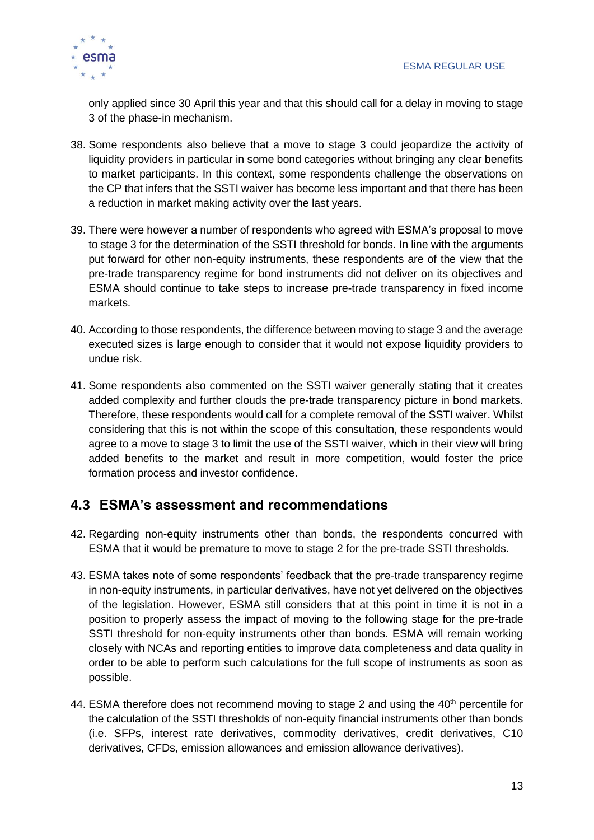

only applied since 30 April this year and that this should call for a delay in moving to stage 3 of the phase-in mechanism.

- 38. Some respondents also believe that a move to stage 3 could jeopardize the activity of liquidity providers in particular in some bond categories without bringing any clear benefits to market participants. In this context, some respondents challenge the observations on the CP that infers that the SSTI waiver has become less important and that there has been a reduction in market making activity over the last years.
- 39. There were however a number of respondents who agreed with ESMA's proposal to move to stage 3 for the determination of the SSTI threshold for bonds. In line with the arguments put forward for other non-equity instruments, these respondents are of the view that the pre-trade transparency regime for bond instruments did not deliver on its objectives and ESMA should continue to take steps to increase pre-trade transparency in fixed income markets.
- 40. According to those respondents, the difference between moving to stage 3 and the average executed sizes is large enough to consider that it would not expose liquidity providers to undue risk.
- 41. Some respondents also commented on the SSTI waiver generally stating that it creates added complexity and further clouds the pre-trade transparency picture in bond markets. Therefore, these respondents would call for a complete removal of the SSTI waiver. Whilst considering that this is not within the scope of this consultation, these respondents would agree to a move to stage 3 to limit the use of the SSTI waiver, which in their view will bring added benefits to the market and result in more competition, would foster the price formation process and investor confidence.

### <span id="page-13-0"></span>**4.3 ESMA's assessment and recommendations**

- 42. Regarding non-equity instruments other than bonds, the respondents concurred with ESMA that it would be premature to move to stage 2 for the pre-trade SSTI thresholds.
- 43. ESMA takes note of some respondents' feedback that the pre-trade transparency regime in non-equity instruments, in particular derivatives, have not yet delivered on the objectives of the legislation. However, ESMA still considers that at this point in time it is not in a position to properly assess the impact of moving to the following stage for the pre-trade SSTI threshold for non-equity instruments other than bonds. ESMA will remain working closely with NCAs and reporting entities to improve data completeness and data quality in order to be able to perform such calculations for the full scope of instruments as soon as possible.
- 44. ESMA therefore does not recommend moving to stage 2 and using the  $40<sup>th</sup>$  percentile for the calculation of the SSTI thresholds of non-equity financial instruments other than bonds (i.e. SFPs, interest rate derivatives, commodity derivatives, credit derivatives, C10 derivatives, CFDs, emission allowances and emission allowance derivatives).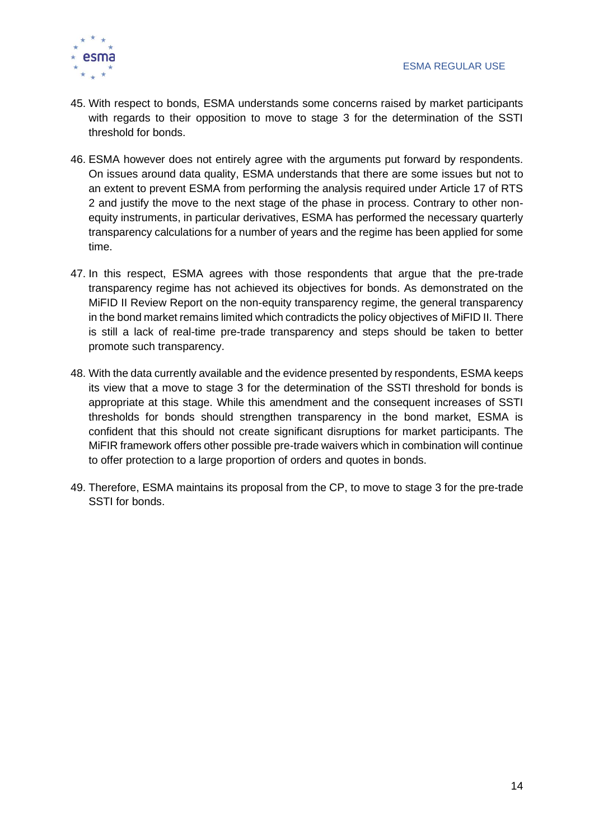

- 45. With respect to bonds, ESMA understands some concerns raised by market participants with regards to their opposition to move to stage 3 for the determination of the SSTI threshold for bonds.
- 46. ESMA however does not entirely agree with the arguments put forward by respondents. On issues around data quality, ESMA understands that there are some issues but not to an extent to prevent ESMA from performing the analysis required under Article 17 of RTS 2 and justify the move to the next stage of the phase in process. Contrary to other nonequity instruments, in particular derivatives, ESMA has performed the necessary quarterly transparency calculations for a number of years and the regime has been applied for some time.
- 47. In this respect, ESMA agrees with those respondents that argue that the pre-trade transparency regime has not achieved its objectives for bonds. As demonstrated on the MiFID II Review Report on the non-equity transparency regime, the general transparency in the bond market remains limited which contradicts the policy objectives of MiFID II. There is still a lack of real-time pre-trade transparency and steps should be taken to better promote such transparency.
- 48. With the data currently available and the evidence presented by respondents, ESMA keeps its view that a move to stage 3 for the determination of the SSTI threshold for bonds is appropriate at this stage. While this amendment and the consequent increases of SSTI thresholds for bonds should strengthen transparency in the bond market, ESMA is confident that this should not create significant disruptions for market participants. The MiFIR framework offers other possible pre-trade waivers which in combination will continue to offer protection to a large proportion of orders and quotes in bonds.
- 49. Therefore, ESMA maintains its proposal from the CP, to move to stage 3 for the pre-trade SSTI for bonds.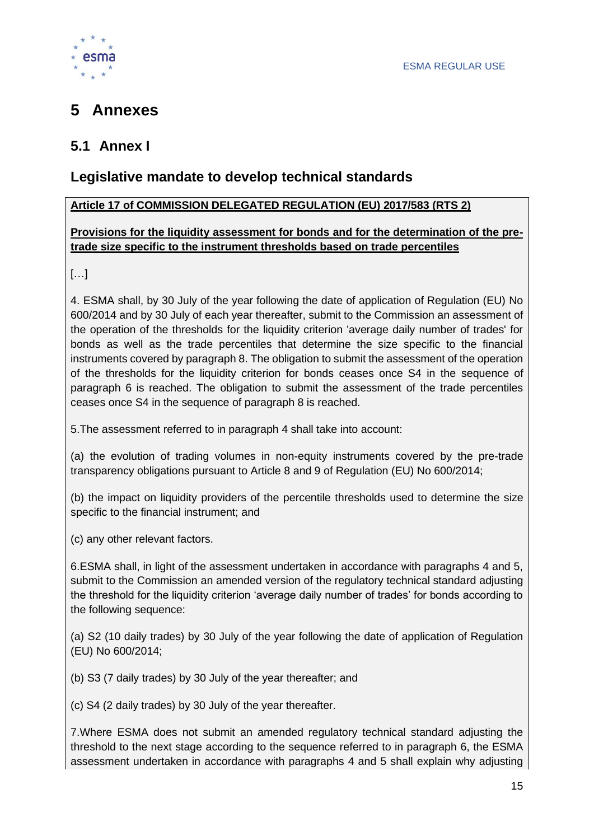

# <span id="page-15-0"></span>**5 Annexes**

# <span id="page-15-1"></span>**5.1 Annex I**

# **Legislative mandate to develop technical standards**

### **Article 17 of COMMISSION DELEGATED REGULATION (EU) 2017/583 (RTS 2)**

### **Provisions for the liquidity assessment for bonds and for the determination of the pretrade size specific to the instrument thresholds based on trade percentiles**

 $[...]$ 

4. ESMA shall, by 30 July of the year following the date of application of Regulation (EU) No 600/2014 and by 30 July of each year thereafter, submit to the Commission an assessment of the operation of the thresholds for the liquidity criterion 'average daily number of trades' for bonds as well as the trade percentiles that determine the size specific to the financial instruments covered by paragraph 8. The obligation to submit the assessment of the operation of the thresholds for the liquidity criterion for bonds ceases once S4 in the sequence of paragraph 6 is reached. The obligation to submit the assessment of the trade percentiles ceases once S4 in the sequence of paragraph 8 is reached.

5.The assessment referred to in paragraph 4 shall take into account:

(a) the evolution of trading volumes in non-equity instruments covered by the pre-trade transparency obligations pursuant to Article 8 and 9 of Regulation (EU) No 600/2014;

(b) the impact on liquidity providers of the percentile thresholds used to determine the size specific to the financial instrument; and

(c) any other relevant factors.

6.ESMA shall, in light of the assessment undertaken in accordance with paragraphs 4 and 5, submit to the Commission an amended version of the regulatory technical standard adjusting the threshold for the liquidity criterion 'average daily number of trades' for bonds according to the following sequence:

(a) S2 (10 daily trades) by 30 July of the year following the date of application of Regulation (EU) No 600/2014;

(b) S3 (7 daily trades) by 30 July of the year thereafter; and

(c) S4 (2 daily trades) by 30 July of the year thereafter.

7.Where ESMA does not submit an amended regulatory technical standard adjusting the threshold to the next stage according to the sequence referred to in paragraph 6, the ESMA assessment undertaken in accordance with paragraphs 4 and 5 shall explain why adjusting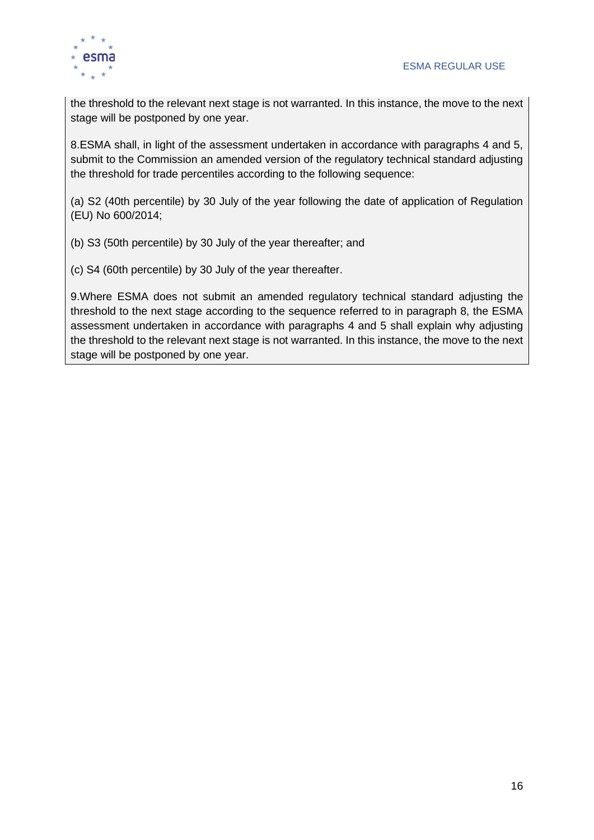

the threshold to the relevant next stage is not warranted. In this instance, the move to the next stage will be postponed by one year.

8.ESMA shall, in light of the assessment undertaken in accordance with paragraphs 4 and 5, submit to the Commission an amended version of the regulatory technical standard adjusting the threshold for trade percentiles according to the following sequence:

(a) S2 (40th percentile) by 30 July of the year following the date of application of Regulation (EU) No 600/2014;

- (b) S3 (50th percentile) by 30 July of the year thereafter; and
- (c) S4 (60th percentile) by 30 July of the year thereafter.

9.Where ESMA does not submit an amended regulatory technical standard adjusting the threshold to the next stage according to the sequence referred to in paragraph 8, the ESMA assessment undertaken in accordance with paragraphs 4 and 5 shall explain why adjusting the threshold to the relevant next stage is not warranted. In this instance, the move to the next stage will be postponed by one year.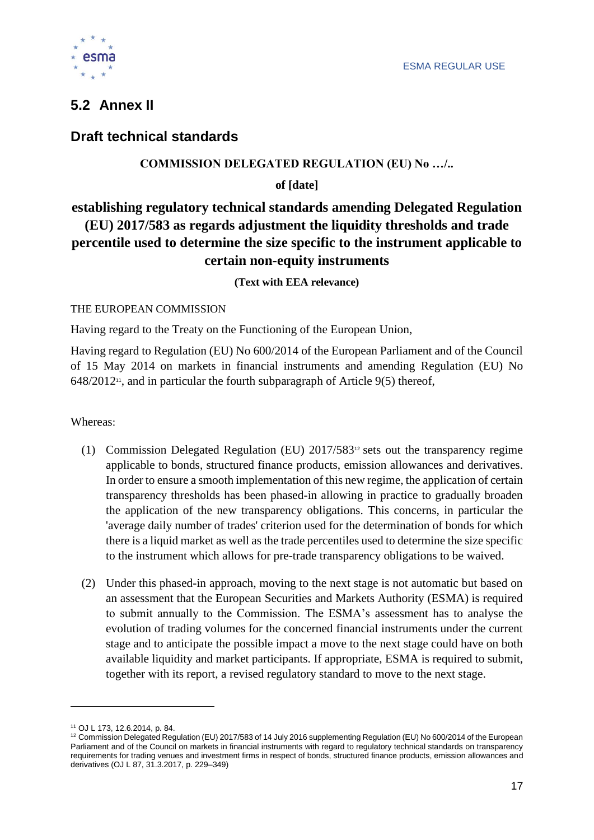

# <span id="page-17-0"></span>**5.2 Annex II**

### **Draft technical standards**

### **COMMISSION DELEGATED REGULATION (EU) No …/..**

**of [date]**

# **establishing regulatory technical standards amending Delegated Regulation (EU) 2017/583 as regards adjustment the liquidity thresholds and trade percentile used to determine the size specific to the instrument applicable to certain non-equity instruments**

**(Text with EEA relevance)**

### THE EUROPEAN COMMISSION

Having regard to the Treaty on the Functioning of the European Union,

Having regard to Regulation (EU) No 600/2014 of the European Parliament and of the Council of 15 May 2014 on markets in financial instruments and amending Regulation (EU) No 648/2012<sup>11</sup> , and in particular the fourth subparagraph of Article 9(5) thereof,

Whereas:

- (1) Commission Delegated Regulation (EU) 2017/583<sup>12</sup> sets out the transparency regime applicable to bonds, structured finance products, emission allowances and derivatives. In order to ensure a smooth implementation of this new regime, the application of certain transparency thresholds has been phased-in allowing in practice to gradually broaden the application of the new transparency obligations. This concerns, in particular the 'average daily number of trades' criterion used for the determination of bonds for which there is a liquid market as well as the trade percentiles used to determine the size specific to the instrument which allows for pre-trade transparency obligations to be waived.
- (2) Under this phased-in approach, moving to the next stage is not automatic but based on an assessment that the European Securities and Markets Authority (ESMA) is required to submit annually to the Commission. The ESMA's assessment has to analyse the evolution of trading volumes for the concerned financial instruments under the current stage and to anticipate the possible impact a move to the next stage could have on both available liquidity and market participants. If appropriate, ESMA is required to submit, together with its report, a revised regulatory standard to move to the next stage.

<sup>11</sup> OJ L 173, 12.6.2014, p. 84.

<sup>12</sup> Commission Delegated Regulation (EU) 2017/583 of 14 July 2016 supplementing Regulation (EU) No 600/2014 of the European Parliament and of the Council on markets in financial instruments with regard to regulatory technical standards on transparency requirements for trading venues and investment firms in respect of bonds, structured finance products, emission allowances and derivatives (OJ L 87, 31.3.2017, p. 229–349)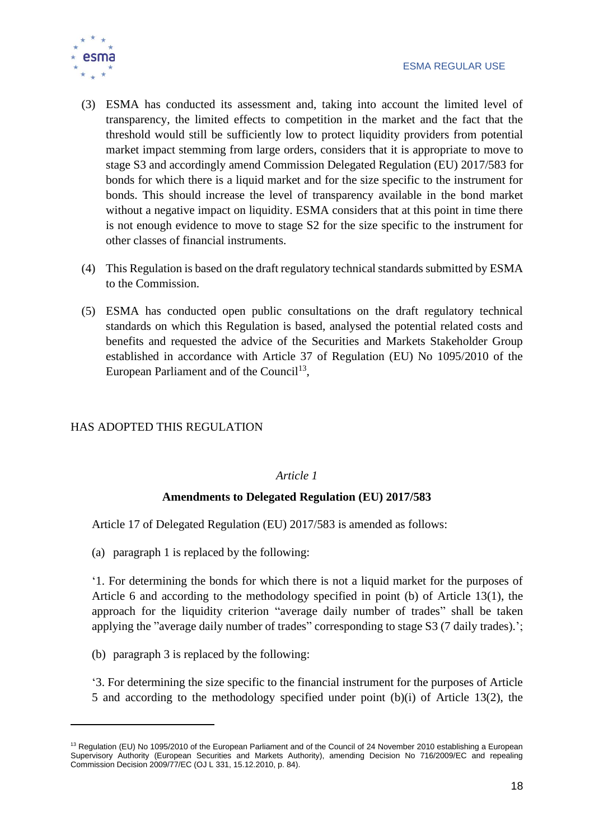

- (3) ESMA has conducted its assessment and, taking into account the limited level of transparency, the limited effects to competition in the market and the fact that the threshold would still be sufficiently low to protect liquidity providers from potential market impact stemming from large orders, considers that it is appropriate to move to stage S3 and accordingly amend Commission Delegated Regulation (EU) 2017/583 for bonds for which there is a liquid market and for the size specific to the instrument for bonds. This should increase the level of transparency available in the bond market without a negative impact on liquidity. ESMA considers that at this point in time there is not enough evidence to move to stage S2 for the size specific to the instrument for other classes of financial instruments.
- (4) This Regulation is based on the draft regulatory technical standards submitted by ESMA to the Commission.
- (5) ESMA has conducted open public consultations on the draft regulatory technical standards on which this Regulation is based, analysed the potential related costs and benefits and requested the advice of the Securities and Markets Stakeholder Group established in accordance with Article 37 of Regulation (EU) No 1095/2010 of the European Parliament and of the Council<sup>13</sup>,

### HAS ADOPTED THIS REGULATION

#### *Article 1*

### **Amendments to Delegated Regulation (EU) 2017/583**

Article 17 of Delegated Regulation (EU) 2017/583 is amended as follows:

(a) paragraph 1 is replaced by the following:

'1. For determining the bonds for which there is not a liquid market for the purposes of Article 6 and according to the methodology specified in point (b) of Article 13(1), the approach for the liquidity criterion "average daily number of trades" shall be taken applying the "average daily number of trades" corresponding to stage S3 (7 daily trades).';

(b) paragraph 3 is replaced by the following:

'3. For determining the size specific to the financial instrument for the purposes of Article 5 and according to the methodology specified under point (b)(i) of Article 13(2), the

<sup>&</sup>lt;sup>13</sup> Regulation (EU) No 1095/2010 of the European Parliament and of the Council of 24 November 2010 establishing a European Supervisory Authority (European Securities and Markets Authority), amending Decision No 716/2009/EC and repealing Commission Decision 2009/77/EC (OJ L 331, 15.12.2010, p. 84).